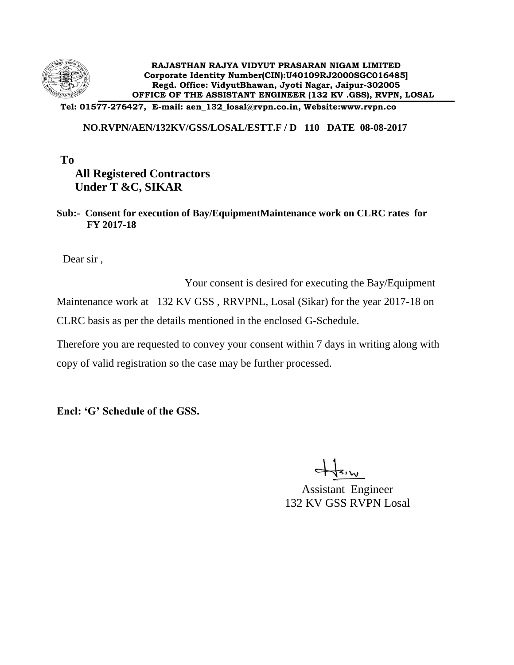

**Tel: 01577-276427, E-mail: aen\_132\_losal@rvpn.co.in, Website:www.rvpn.co**

### **NO.RVPN/AEN/132KV/GSS/LOSAL/ESTT.F / D 110 DATE 08-08-2017**

### **To All Registered Contractors Under T &C, SIKAR**

### **Sub:- Consent for execution of Bay/EquipmentMaintenance work on CLRC rates for FY 2017-18**

Dear sir ,

 Your consent is desired for executing the Bay/Equipment Maintenance work at 132 KV GSS , RRVPNL, Losal (Sikar) for the year 2017-18 on CLRC basis as per the details mentioned in the enclosed G-Schedule.

Therefore you are requested to convey your consent within 7 days in writing along with copy of valid registration so the case may be further processed.

**Encl: 'G' Schedule of the GSS.**

Assistant Engineer 132 KV GSS RVPN Losal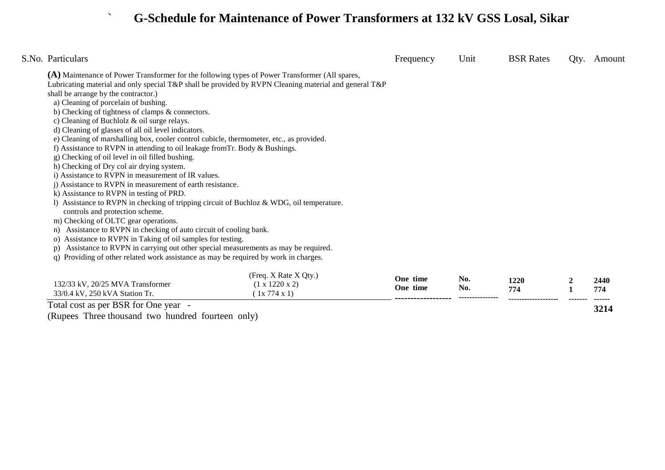# ` **G-Schedule for Maintenance of Power Transformers at 132 kV GSS Losal, Sikar**

| S.No. Particulars                                                                                                           |                                                                                                       | Frequency | Unit | <b>BSR</b> Rates | Qty. | Amount |
|-----------------------------------------------------------------------------------------------------------------------------|-------------------------------------------------------------------------------------------------------|-----------|------|------------------|------|--------|
| (A) Maintenance of Power Transformer for the following types of Power Transformer (All spares,                              |                                                                                                       |           |      |                  |      |        |
|                                                                                                                             | Lubricating material and only special T&P shall be provided by RVPN Cleaning material and general T&P |           |      |                  |      |        |
| shall be arrange by the contractor.)                                                                                        |                                                                                                       |           |      |                  |      |        |
| a) Cleaning of porcelain of bushing.                                                                                        |                                                                                                       |           |      |                  |      |        |
| b) Checking of tightness of clamps & connectors.                                                                            |                                                                                                       |           |      |                  |      |        |
| c) Cleaning of Buchlolz & oil surge relays.                                                                                 |                                                                                                       |           |      |                  |      |        |
| d) Cleaning of glasses of all oil level indicators.                                                                         |                                                                                                       |           |      |                  |      |        |
| e) Cleaning of marshalling box, cooler control cubicle, thermometer, etc., as provided.                                     |                                                                                                       |           |      |                  |      |        |
| f) Assistance to RVPN in attending to oil leakage from Tr. Body & Bushings.                                                 |                                                                                                       |           |      |                  |      |        |
| g) Checking of oil level in oil filled bushing.                                                                             |                                                                                                       |           |      |                  |      |        |
| h) Checking of Dry col air drying system.                                                                                   |                                                                                                       |           |      |                  |      |        |
| i) Assistance to RVPN in measurement of IR values.                                                                          |                                                                                                       |           |      |                  |      |        |
| i) Assistance to RVPN in measurement of earth resistance.                                                                   |                                                                                                       |           |      |                  |      |        |
| k) Assistance to RVPN in testing of PRD.                                                                                    |                                                                                                       |           |      |                  |      |        |
| 1) Assistance to RVPN in checking of tripping circuit of Buchloz & WDG, oil temperature.<br>controls and protection scheme. |                                                                                                       |           |      |                  |      |        |
| m) Checking of OLTC gear operations.                                                                                        |                                                                                                       |           |      |                  |      |        |
| Assistance to RVPN in checking of auto circuit of cooling bank.<br>n)                                                       |                                                                                                       |           |      |                  |      |        |
| Assistance to RVPN in Taking of oil samples for testing.<br>O)                                                              |                                                                                                       |           |      |                  |      |        |
| Assistance to RVPN in carrying out other special measurements as may be required.<br>p)                                     |                                                                                                       |           |      |                  |      |        |
| Providing of other related work assistance as may be required by work in charges.<br>q)                                     |                                                                                                       |           |      |                  |      |        |
|                                                                                                                             | (Freq. X Rate X Qty.)                                                                                 | One time  | No.  |                  |      |        |
| 132/33 kV, 20/25 MVA Transformer                                                                                            | $(1 \times 1220 \times 2)$                                                                            | One time  | No.  | 1220             |      | 2440   |
| 33/0.4 kV, 250 kVA Station Tr.                                                                                              | (1x 774 x 1)                                                                                          |           |      | 774              |      | 774    |
| Total cost as per BSR for One year -                                                                                        |                                                                                                       |           |      |                  |      | 3214   |
|                                                                                                                             |                                                                                                       |           |      |                  |      |        |

Total cost as per BSR for One year -

(Rupees Three thousand two hundred fourteen only)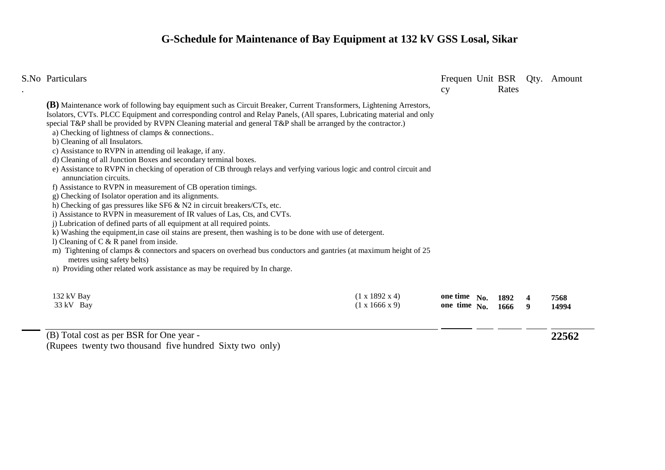## **G-Schedule for Maintenance of Bay Equipment at 132 kV GSS Losal, Sikar**

| S.No Particulars                                                                                                                                                                                                                                                                                                                                                                                                                                                                                                                                                                                                                                                                                                                                                                                                                                                                                                                                                                   |                                                          | cy                                     | Rates | Frequen Unit BSR Qty. Amount |
|------------------------------------------------------------------------------------------------------------------------------------------------------------------------------------------------------------------------------------------------------------------------------------------------------------------------------------------------------------------------------------------------------------------------------------------------------------------------------------------------------------------------------------------------------------------------------------------------------------------------------------------------------------------------------------------------------------------------------------------------------------------------------------------------------------------------------------------------------------------------------------------------------------------------------------------------------------------------------------|----------------------------------------------------------|----------------------------------------|-------|------------------------------|
| <b>(B)</b> Maintenance work of following bay equipment such as Circuit Breaker, Current Transformers, Lightening Arrestors,<br>Isolators, CVTs. PLCC Equipment and corresponding control and Relay Panels, (All spares, Lubricating material and only<br>special T&P shall be provided by RVPN Cleaning material and general T&P shall be arranged by the contractor.)<br>a) Checking of lightness of clamps & connections<br>b) Cleaning of all Insulators.<br>c) Assistance to RVPN in attending oil leakage, if any.                                                                                                                                                                                                                                                                                                                                                                                                                                                            |                                                          |                                        |       |                              |
| d) Cleaning of all Junction Boxes and secondary terminal boxes.<br>e) Assistance to RVPN in checking of operation of CB through relays and verfying various logic and control circuit and<br>annunciation circuits.<br>f) Assistance to RVPN in measurement of CB operation timings.<br>g) Checking of Isolator operation and its alignments.<br>h) Checking of gas pressures like SF6 $\&$ N2 in circuit breakers/CTs, etc.<br>i) Assistance to RVPN in measurement of IR values of Las, Cts, and CVTs.<br>j) Lubrication of defined parts of all equipment at all required points.<br>k) Washing the equipment, in case oil stains are present, then washing is to be done with use of detergent.<br>1) Cleaning of $C & R$ panel from inside.<br>m) Tightening of clamps & connectors and spacers on overhead bus conductors and gantries (at maximum height of 25<br>metres using safety belts)<br>n) Providing other related work assistance as may be required by In charge. |                                                          |                                        |       |                              |
| 132 kV Bay<br>33 kV Bay                                                                                                                                                                                                                                                                                                                                                                                                                                                                                                                                                                                                                                                                                                                                                                                                                                                                                                                                                            | $(1 \times 1892 \times 4)$<br>$(1 \times 1666 \times 9)$ | one time No. 1892<br>one time No. 1666 |       | 7568<br>14994                |

(B) Total cost as per BSR for One year -

(Rupees twenty two thousand five hundred Sixty two only)

**22562**